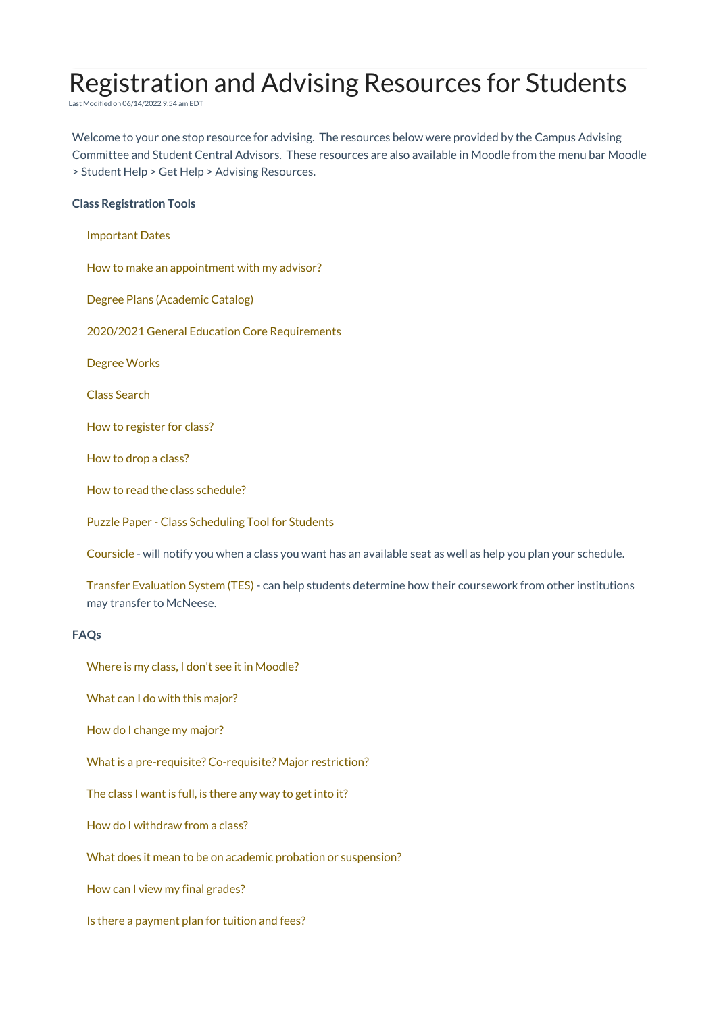# Registration and Advising Resources for Students

Last Modified on 06/14/2022 9:54 am EDT

Welcome to your one stop resource for advising. The resources below were provided by the Campus Advising Committee and Student Central Advisors. These resources are also available in Moodle from the menu bar Moodle > Student Help > Get Help > Advising Resources.

## **Class Registration Tools**

| <b>Important Dates</b>                                                                                                                  |
|-----------------------------------------------------------------------------------------------------------------------------------------|
| How to make an appointment with my advisor?                                                                                             |
| Degree Plans (Academic Catalog)                                                                                                         |
| 2020/2021 General Education Core Requirements                                                                                           |
| Degree Works                                                                                                                            |
| <b>Class Search</b>                                                                                                                     |
| How to register for class?                                                                                                              |
| How to drop a class?                                                                                                                    |
| How to read the class schedule?                                                                                                         |
| <b>Puzzle Paper - Class Scheduling Tool for Students</b>                                                                                |
| Coursicle - will notify you when a class you want has an available seat as well as help you plan your schedule.                         |
| Transfer Evaluation System (TES) - can help students determine how their coursework from other institutions<br>may transfer to McNeese. |
| FAQs                                                                                                                                    |

Where is my class, I don't see it in [Moodle?](https://mcneeseonline.knowledgeowl.com/help/find-courses-moodle)

What can I do with this [major?](https://whatcanidowiththismajor.com/major/)

How do I [change](https://mcneeseonline.knowledgeowl.com/help/how-do-i-change-my-major) my major?

What is a [pre-requisite?](https://mcneeseonline.knowledgeowl.com/help/what-is-pre-requisite-co-requisite-major-restriction) Co-requisite? Major restriction?

The class I want is full, is [there](https://mcneeseonline.knowledgeowl.com/help/class-is-full) any way to get into it?

How do I [withdraw](https://www.mcneese.edu/registrar/withdrawing_from_courses) from a class?

What does it mean to be on academic probation or [suspension?](https://www.mcneese.edu/registrar/academic_probation_and_suspension)

How can I view my final [grades?](https://www.mcneese.edu/registrar/final_grades)

Is there a [payment](https://mcneeseonline.knowledgeowl.com/help/payment-plan-for-tuition-and-fees) plan for tuition and fees?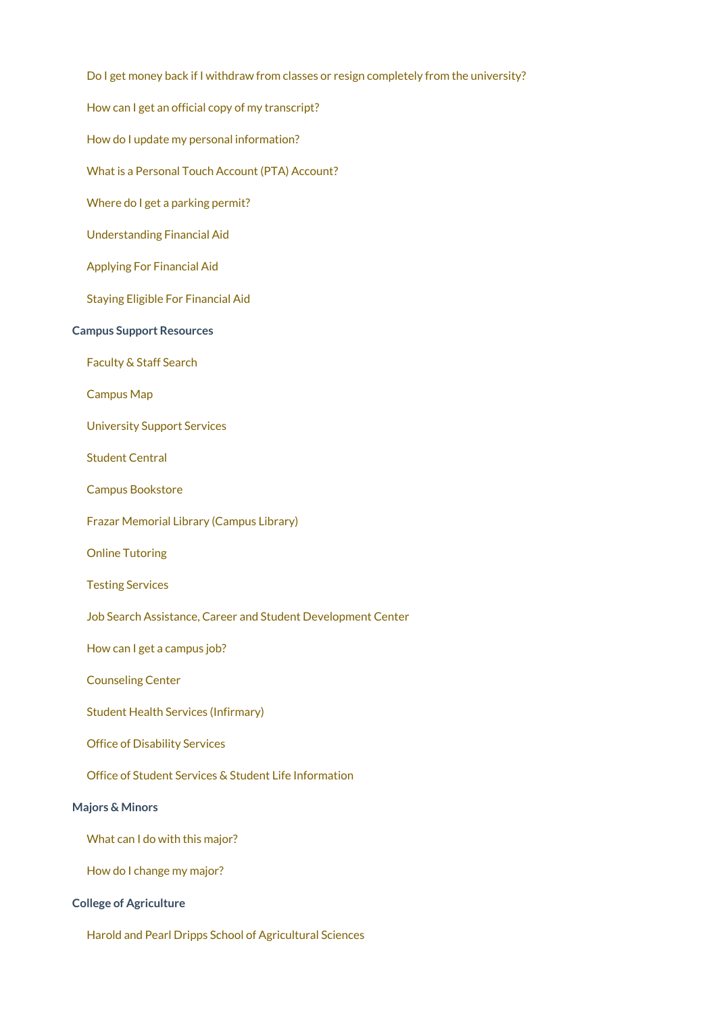| Do I get money back if I withdraw from classes or resign completely from the university? |  |
|------------------------------------------------------------------------------------------|--|
| How can I get an official copy of my transcript?                                         |  |
| How do I update my personal information?                                                 |  |
| What is a Personal Touch Account (PTA) Account?                                          |  |
| Where do I get a parking permit?                                                         |  |
| <b>Understanding Financial Aid</b>                                                       |  |
| <b>Applying For Financial Aid</b>                                                        |  |
| <b>Staying Eligible For Financial Aid</b>                                                |  |
| <b>Campus Support Resources</b>                                                          |  |
| Faculty & Staff Search                                                                   |  |
| <b>Campus Map</b>                                                                        |  |
| <b>University Support Services</b>                                                       |  |
| <b>Student Central</b>                                                                   |  |
| <b>Campus Bookstore</b>                                                                  |  |
| Frazar Memorial Library (Campus Library)                                                 |  |
| <b>Online Tutoring</b>                                                                   |  |
| <b>Testing Services</b>                                                                  |  |
| Job Search Assistance, Career and Student Development Center                             |  |
| How can I get a campus job?                                                              |  |
| <b>Counseling Center</b>                                                                 |  |
| <b>Student Health Services (Infirmary)</b>                                               |  |
| <b>Office of Disability Services</b>                                                     |  |
| Office of Student Services & Student Life Information                                    |  |
| <b>Majors &amp; Minors</b>                                                               |  |
| What can I do with this major?                                                           |  |
| How do I change my major?                                                                |  |
| <b>College of Agriculture</b>                                                            |  |

Harold and Pearl Dripps School of [Agricultural](https://www.mcneese.edu/agriculture/school-of-agricultural-sciences/) Sciences